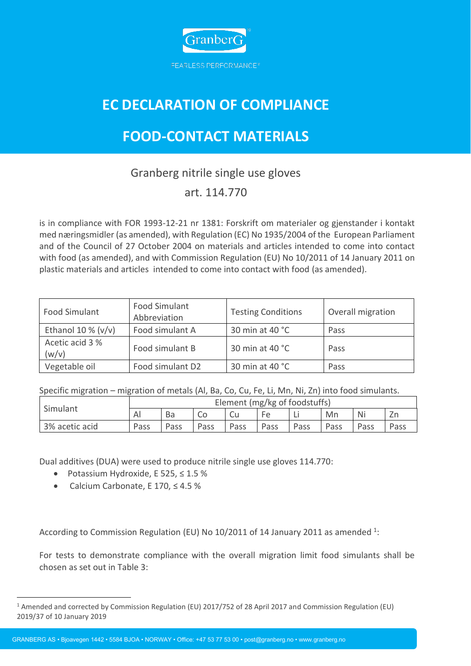

# **EC DECLARATION OF COMPLIANCE**

# **FOOD-CONTACT MATERIALS**

## Granberg nitrile single use gloves

### art. 114.770

is in compliance with FOR 1993-12-21 nr 1381: Forskrift om materialer og gjenstander i kontakt med næringsmidler (as amended), with Regulation (EC) No 1935/2004 of the European Parliament and of the Council of 27 October 2004 on materials and articles intended to come into contact with food (as amended), and with Commission Regulation (EU) No 10/2011 of 14 January 2011 on plastic materials and articles intended to come into contact with food (as amended).

| Food Simulant            | <b>Food Simulant</b><br>Abbreviation | <b>Testing Conditions</b> | Overall migration |  |  |
|--------------------------|--------------------------------------|---------------------------|-------------------|--|--|
| Ethanol 10 % $(v/v)$     | Food simulant A                      | 30 min at 40 °C           | Pass              |  |  |
| Acetic acid 3 %<br>(w/v) | Food simulant B                      | 30 min at 40 °C           | Pass              |  |  |
| Vegetable oil            | Food simulant D2                     | 30 min at 40 °C           | Pass              |  |  |

Specific migration – migration of metals (Al, Ba, Co, Cu, Fe, Li, Mn, Ni, Zn) into food simulants.

| Simulant       | Element (mg/kg of foodstuffs) |      |      |             |      |      |      |      |      |
|----------------|-------------------------------|------|------|-------------|------|------|------|------|------|
|                | Al                            | Ba   |      |             | FΑ   |      | Mn   | Ni   |      |
| 3% acetic acid | Pass                          | Pass | Pass | <b>Pass</b> | Pass | Pass | Pass | Pass | Pass |

Dual additives (DUA) were used to produce nitrile single use gloves 114.770:

- Potassium Hydroxide, E 525, ≤ 1.5 %
- Calcium Carbonate, E 170, ≤ 4.5 %

According to Commission Regulation (EU) No 10/2011 of 14 January 2011 as amended  $^{1}$ :

For tests to demonstrate compliance with the overall migration limit food simulants shall be chosen as set out in Table 3:

GRANBERG AS • Bjoavegen 1442 • 5584 BJOA • NORWAY • Office: +47 53 77 53 00 • post@granberg.no • www.granberg.no

<sup>1</sup> Amended and corrected by Commission Regulation (EU) 2017/752 of 28 April 2017 and Commission Regulation (EU) 2019/37 of 10 January 2019